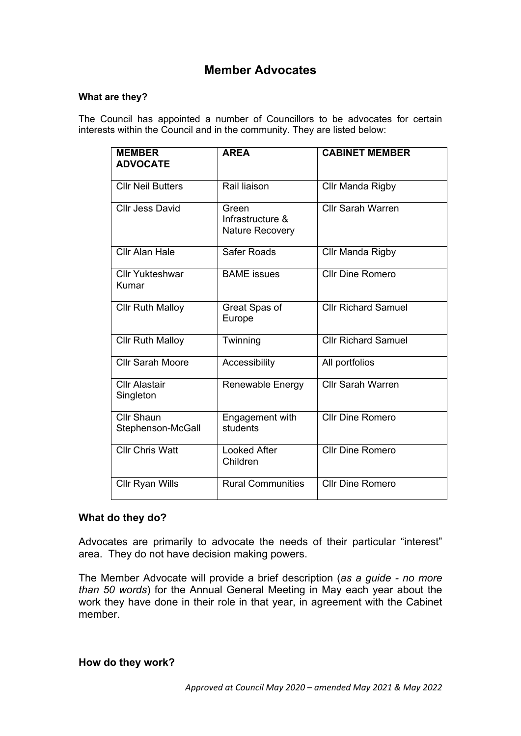## **Member Advocates**

## **What are they?**

The Council has appointed a number of Councillors to be advocates for certain interests within the Council and in the community. They are listed below:

| <b>MEMBER</b><br><b>ADVOCATE</b>       | <b>AREA</b>                                         | <b>CABINET MEMBER</b>      |
|----------------------------------------|-----------------------------------------------------|----------------------------|
| <b>CIIr Neil Butters</b>               | Rail liaison                                        | Cllr Manda Rigby           |
| <b>Cllr Jess David</b>                 | Green<br>Infrastructure &<br><b>Nature Recovery</b> | <b>Cllr Sarah Warren</b>   |
| <b>Cllr Alan Hale</b>                  | Safer Roads                                         | Cllr Manda Rigby           |
| <b>Cllr Yukteshwar</b><br>Kumar        | <b>BAME</b> issues                                  | <b>Cllr Dine Romero</b>    |
| <b>Cllr Ruth Malloy</b>                | Great Spas of<br>Europe                             | <b>Cllr Richard Samuel</b> |
| <b>Cllr Ruth Malloy</b>                | Twinning                                            | <b>Cllr Richard Samuel</b> |
| <b>Cllr Sarah Moore</b>                | Accessibility                                       | All portfolios             |
| <b>Cllr Alastair</b><br>Singleton      | Renewable Energy                                    | <b>Cllr Sarah Warren</b>   |
| <b>Cllr Shaun</b><br>Stephenson-McGall | Engagement with<br>students                         | <b>Cllr Dine Romero</b>    |
| <b>CIIr Chris Watt</b>                 | <b>Looked After</b><br>Children                     | <b>Cllr Dine Romero</b>    |
| <b>Cllr Ryan Wills</b>                 | <b>Rural Communities</b>                            | Cllr Dine Romero           |

## **What do they do?**

Advocates are primarily to advocate the needs of their particular "interest" area. They do not have decision making powers.

The Member Advocate will provide a brief description (*as a guide - no more than 50 words*) for the Annual General Meeting in May each year about the work they have done in their role in that year, in agreement with the Cabinet member.

**How do they work?**